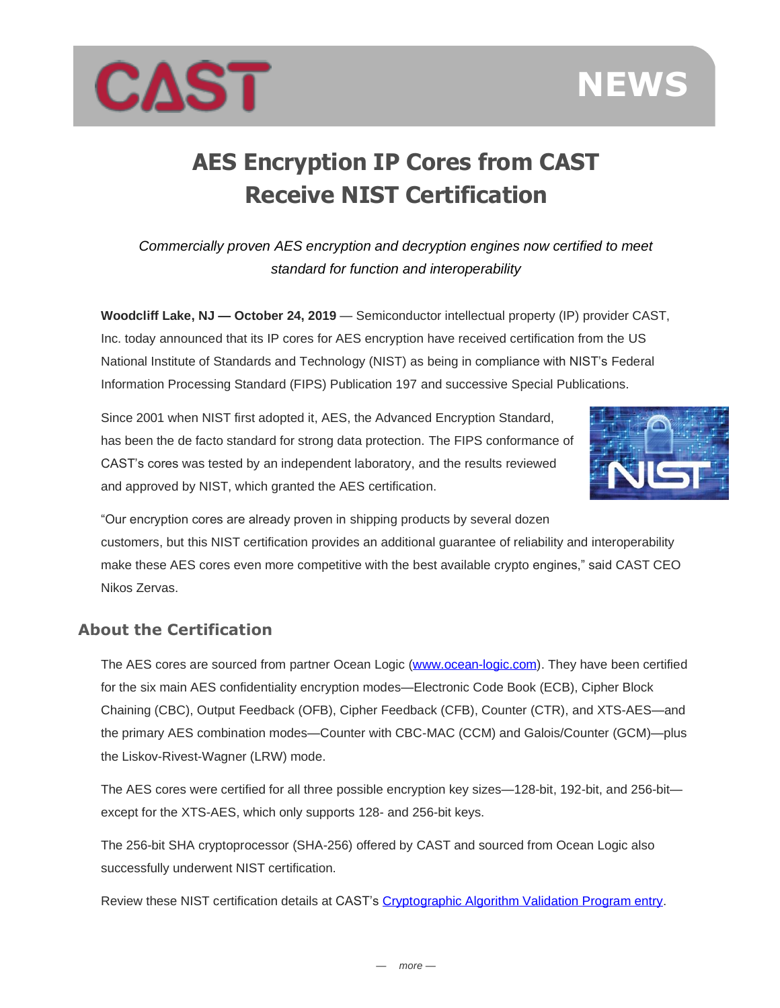



## **AES Encryption IP Cores from CAST Receive NIST Certification**

*Commercially proven AES encryption and decryption engines now certified to meet standard for function and interoperability*

**Woodcliff Lake, NJ — October 24, 2019** — Semiconductor intellectual property (IP) provider CAST, Inc. today announced that its IP cores for AES encryption have received certification from the US National Institute of Standards and Technology (NIST) as being in compliance with NIST's Federal Information Processing Standard (FIPS) Publication 197 and successive Special Publications.

Since 2001 when NIST first adopted it, AES, the Advanced Encryption Standard, has been the de facto standard for strong data protection. The FIPS conformance of CAST's cores was tested by an independent laboratory, and the results reviewed and approved by NIST, which granted the AES certification.



"Our encryption cores are already proven in shipping products by several dozen customers, but this NIST certification provides an additional guarantee of reliability and interoperability make these AES cores even more competitive with the best available crypto engines," said CAST CEO Nikos Zervas.

## **About the Certification**

The AES cores are sourced from partner Ocean Logic [\(www.ocean-logic.com\)](http://www.ocean-logic.com/). They have been certified for the six main AES confidentiality encryption modes—Electronic Code Book (ECB), Cipher Block Chaining (CBC), Output Feedback (OFB), Cipher Feedback (CFB), Counter (CTR), and XTS-AES—and the primary AES combination modes—Counter with CBC-MAC (CCM) and Galois/Counter (GCM)—plus the Liskov-Rivest-Wagner (LRW) mode.

The AES cores were certified for all three possible encryption key sizes—128-bit, 192-bit, and 256-bit except for the XTS-AES, which only supports 128- and 256-bit keys.

The 256-bit SHA cryptoprocessor (SHA-256) offered by CAST and sourced from Ocean Logic also successfully underwent NIST certification.

Review these NIST certification details at CAST's [Cryptographic Algorithm Validation Program entry.](https://csrc.nist.gov/projects/cryptographic-algorithm-validation-program/validation-search?searchMode=criteria&family=Prefix&vendor=CAST%2C+inc.&productType=-1&ipp=25)